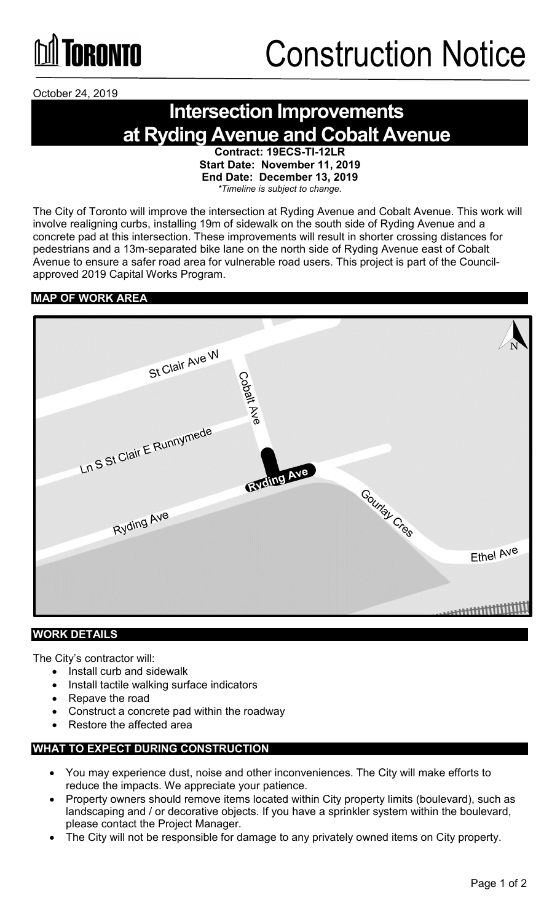

October 24, 2019

### **Intersection Improvements at Ryding Avenue and Cobalt Avenue**

**Contract: 19ECS-TI-12LR Start Date: November 11, 2019 End Date: December 13, 2019** *\*Timeline is subject to change.*

The City of Toronto will improve the intersection at Ryding Avenue and Cobalt Avenue. This work will involve realigning curbs, installing 19m of sidewalk on the south side of Ryding Avenue and a concrete pad at this intersection. These improvements will result in shorter crossing distances for pedestrians and a 13m-separated bike lane on the north side of Ryding Avenue east of Cobalt Avenue to ensure a safer road area for vulnerable road users. This project is part of the Councilapproved 2019 Capital Works Program.

#### **MAP OF WORK AREA**



#### **WORK DETAILS**

The City's contractor will:

- Install curb and sidewalk
- Install tactile walking surface indicators
- Repave the road
- Construct a concrete pad within the roadway
- Restore the affected area

#### **WHAT TO EXPECT DURING CONSTRUCTION**

- You may experience dust, noise and other inconveniences. The City will make efforts to reduce the impacts. We appreciate your patience.
- Property owners should remove items located within City property limits (boulevard), such as landscaping and / or decorative objects. If you have a sprinkler system within the boulevard, please contact the Project Manager.
- The City will not be responsible for damage to any privately owned items on City property.